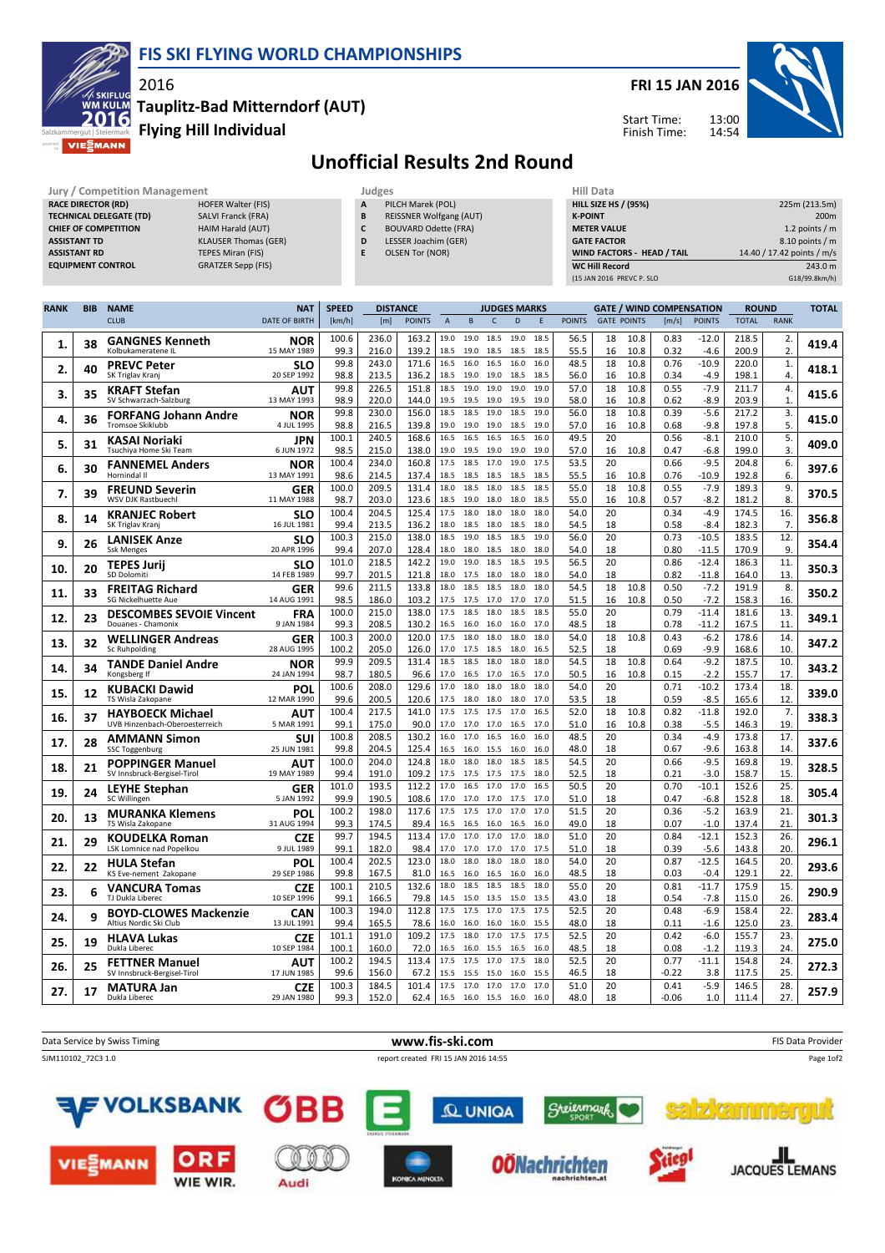



## Tauplitz-Bad Mitterndorf (AUT)

Flying Hill Individual



## Unofficial Results 2nd Round

| <b>Jury / Competition Management</b> |                             |   | Judges                         | Hill Data                         |                            |
|--------------------------------------|-----------------------------|---|--------------------------------|-----------------------------------|----------------------------|
| <b>RACE DIRECTOR (RD)</b>            | <b>HOFER Walter (FIS)</b>   | A | PILCH Marek (POL)              | <b>HILL SIZE HS / (95%)</b>       | 225m (213.5m)              |
| <b>TECHNICAL DELEGATE (TD)</b>       | <b>SALVI Franck (FRA)</b>   | B | <b>REISSNER Wolfgang (AUT)</b> | <b>K-POINT</b>                    | 200 <sub>m</sub>           |
| <b>CHIEF OF COMPETITION</b>          | HAIM Harald (AUT)           |   | <b>BOUVARD Odette (FRA)</b>    | <b>METER VALUE</b>                | 1.2 points $/m$            |
| <b>ASSISTANT TD</b>                  | <b>KLAUSER Thomas (GER)</b> | D | LESSER Joachim (GER)           | <b>GATE FACTOR</b>                | $8.10$ points / m          |
| <b>ASSISTANT RD</b>                  | TEPES Miran (FIS)           |   | <b>OLSEN Tor (NOR)</b>         | <b>WIND FACTORS - HEAD / TAIL</b> | 14.40 / 17.42 points / m/s |
| <b>EQUIPMENT CONTROL</b>             | <b>GRATZER Sepp (FIS)</b>   |   |                                | <b>WC Hill Record</b>             | 243.0 m                    |
|                                      |                             |   |                                | (15 JAN 2016 PREVC P. SLO         | G18/99.8km/h)              |

| <b>RANK</b> | <b>BIB</b> | <b>NAME</b>                                               | <b>NAT</b>                | <b>SPEED</b>  |                | <b>DISTANCE</b> |              |                        | <b>JUDGES MARKS</b> |              |              |               |                    |              | <b>GATE / WIND COMPENSATION</b> |                    | <b>ROUND</b>   |                    | <b>TOTAL</b> |
|-------------|------------|-----------------------------------------------------------|---------------------------|---------------|----------------|-----------------|--------------|------------------------|---------------------|--------------|--------------|---------------|--------------------|--------------|---------------------------------|--------------------|----------------|--------------------|--------------|
|             |            | <b>CLUB</b>                                               | <b>DATE OF BIRTH</b>      | [km/h]        | [m]            | <b>POINTS</b>   | $\mathsf{A}$ | B                      | $\mathsf{C}$        | D            | Ε            | <b>POINTS</b> | <b>GATE POINTS</b> |              | [m/s]                           | <b>POINTS</b>      | <b>TOTAL</b>   | <b>RANK</b>        |              |
|             |            | <b>GANGNES Kenneth</b>                                    | NOR                       | 100.6         | 236.0          | 163.2           | 19.0         | 19.0                   | 18.5                | 19.0         | 18.5         | 56.5          | 18                 | 10.8         | 0.83                            | $-12.0$            | 218.5          | 2.                 |              |
| 1.          | 38         | Kolbukameratene IL                                        | 15 MAY 1989               | 99.3          | 216.0          | 139.2           | 18.5         | 19.0                   | 18.5                | 18.5         | 18.5         | 55.5          | 16                 | 10.8         | 0.32                            | $-4.6$             | 200.9          | 2.                 | 419.4        |
| 2.          | 40         | <b>PREVC Peter</b>                                        | <b>SLO</b>                | 99.8          | 243.0          | 171.6           | 16.5         | 16.0                   | 16.5                | 16.0         | 16.0         | 48.5          | 18                 | 10.8         | 0.76                            | $-10.9$            | 220.0          | $\mathbf{1}$ .     | 418.1        |
|             |            | SK Triglav Kranj                                          | 20 SEP 1992               | 98.8          | 213.5          | 136.2           | 18.5         | 19.0                   | 19.0                | 18.5         | 18.5         | 56.0          | 16                 | 10.8         | 0.34                            | $-4.9$             | 198.1          | 4.                 |              |
| 3.          | 35         | <b>KRAFT Stefan</b>                                       | AUT                       | 99.8          | 226.5          | 151.8           | 18.5         | 19.0                   | 19.0                | 19.0         | 19.0         | 57.0          | 18                 | 10.8         | 0.55                            | $-7.9$             | 211.7          | 4.                 | 415.6        |
|             |            | SV Schwarzach-Salzburg                                    | 13 MAY 1993               | 98.9          | 220.0<br>230.0 | 144.0<br>156.0  | 19.5<br>18.5 | 19.5                   | 19.0                | 19.5<br>18.5 | 19.0<br>19.0 | 58.0<br>56.0  | 16<br>18           | 10.8<br>10.8 | 0.62<br>0.39                    | $-8.9$<br>$-5.6$   | 203.9          | $\mathbf{1}$<br>3. |              |
| 4.          | 36         | <b>FORFANG Johann Andre</b><br>Tromsoe Skiklubb           | <b>NOR</b><br>4 JUL 1995  | 99.8<br>98.8  | 216.5          | 139.8           | 19.0         | 18.5<br>19.0           | 19.0<br>19.0        | 18.5         | 19.0         | 57.0          | 16                 | 10.8         | 0.68                            | $-9.8$             | 217.2<br>197.8 | 5.                 | 415.0        |
|             |            | <b>KASAI Noriaki</b>                                      | <b>JPN</b>                | 100.1         | 240.5          | 168.6           | 16.5         | 16.5                   | 16.5                | 16.5         | 16.0         | 49.5          | 20                 |              | 0.56                            | $-8.1$             | 210.0          | 5.                 |              |
| 5.          | 31         | Tsuchiya Home Ski Team                                    | 6 JUN 1972                | 98.5          | 215.0          | 138.0           | 19.0         | 19.5                   | 19.0                | 19.0         | 19.0         | 57.0          | 16                 | 10.8         | 0.47                            | $-6.8$             | 199.0          | 3.                 | 409.0        |
| 6.          | 30         | <b>FANNEMEL Anders</b>                                    | <b>NOR</b>                | 100.4         | 234.0          | 160.8           | 17.5         | 18.5                   | 17.0                | 19.0         | 17.5         | 53.5          | 20                 |              | 0.66                            | $-9.5$             | 204.8          | 6.                 | 397.6        |
|             |            | Hornindal II                                              | 13 MAY 1991               | 98.6          | 214.5          | 137.4           | 18.5         | 18.5                   | 18.5                | 18.5         | 18.5         | 55.5          | 16                 | 10.8         | 0.76                            | $-10.9$            | 192.8          | 6.                 |              |
| 7.          | 39         | <b>FREUND Severin</b>                                     | <b>GER</b>                | 100.0         | 209.5          | 131.4           | 18.0         | 18.5                   | 18.0                | 18.5         | 18.5         | 55.0          | 18                 | 10.8         | 0.55                            | $-7.9$             | 189.3          | 9.                 | 370.5        |
|             |            | <b>WSV DJK Rastbuechl</b>                                 | 11 MAY 1988               | 98.7          | 203.0          | 123.6           | 18.5         | 19.0                   | 18.0                | 18.0         | 18.5         | 55.0          | 16                 | 10.8         | 0.57                            | $-8.2$             | 181.2          | 8.                 |              |
| 8.          | 14         | <b>KRANJEC Robert</b><br>SK Triglav Kranj                 | <b>SLO</b><br>16 JUL 1981 | 100.4<br>99.4 | 204.5<br>213.5 | 125.4<br>136.2  | 17.5<br>18.0 | 18.0<br>18.5           | 18.0<br>18.0        | 18.0<br>18.5 | 18.0<br>18.0 | 54.0<br>54.5  | 20<br>18           |              | 0.34<br>0.58                    | $-4.9$<br>$-8.4$   | 174.5<br>182.3 | 16.<br>7.          | 356.8        |
|             |            | <b>LANISEK Anze</b>                                       | <b>SLO</b>                | 100.3         | 215.0          | 138.0           | 18.5         | 19.0                   | 18.5                | 18.5         | 19.0         | 56.0          | 20                 |              | 0.73                            | $-10.5$            | 183.5          | 12.                |              |
| 9.          | 26         | <b>Ssk Menges</b>                                         | 20 APR 1996               | 99.4          | 207.0          | 128.4           | 18.0         | 18.0                   | 18.5                | 18.0         | 18.0         | 54.0          | 18                 |              | 0.80                            | $-11.5$            | 170.9          | 9.                 | 354.4        |
|             |            | <b>TEPES Jurii</b>                                        | <b>SLO</b>                | 101.0         | 218.5          | 142.2           | 19.0         | 19.0                   | 18.5                | 18.5         | 19.5         | 56.5          | 20                 |              | 0.86                            | $-12.4$            | 186.3          | 11.                | 350.3        |
| 10.         | 20         | SD Dolomiti                                               | 14 FEB 1989               | 99.7          | 201.5          | 121.8           | 18.0         | 17.5                   | 18.0                | 18.0         | 18.0         | 54.0          | 18                 |              | 0.82                            | $-11.8$            | 164.0          | 13.                |              |
| 11.         | 33         | <b>FREITAG Richard</b>                                    | <b>GER</b>                | 99.6          | 211.5          | 133.8           | 18.0         | 18.5                   | 18.5                | 18.0         | 18.0         | 54.5          | 18                 | 10.8         | 0.50                            | $-7.2$             | 191.9          | 8.                 | 350.2        |
|             |            | SG Nickelhuette Aue                                       | 14 AUG 1991               | 98.5          | 186.0          | 103.2           | 17.5         | 17.5                   | 17.0                | 17.0         | 17.0         | 51.5          | 16                 | 10.8         | 0.50                            | $-7.2$             | 158.3          | 16.                |              |
| 12.         | 23         | <b>DESCOMBES SEVOIE Vincent</b><br>Douanes - Chamonix     | FRA<br>9 JAN 1984         | 100.0<br>99.3 | 215.0<br>208.5 | 138.0<br>130.2  | 17.5<br>16.5 | 18.5<br>16.0           | 18.0<br>16.0        | 18.5<br>16.0 | 18.5<br>17.0 | 55.0<br>48.5  | 20<br>18           |              | 0.79<br>0.78                    | $-11.4$<br>$-11.2$ | 181.6<br>167.5 | 13.<br>11.         | 349.1        |
|             |            | <b>WELLINGER Andreas</b>                                  | <b>GER</b>                | 100.3         | 200.0          | 120.0           | 17.5         | 18.0                   | 18.0                | 18.0         | 18.0         | 54.0          | 18                 | 10.8         | 0.43                            | $-6.2$             | 178.6          | 14                 |              |
| 13.         | 32         | Sc Ruhpolding                                             | 28 AUG 1995               | 100.2         | 205.0          | 126.0           | 17.0         | 17.5                   | 18.5                | 18.0         | 16.5         | 52.5          | 18                 |              | 0.69                            | $-9.9$             | 168.6          | 10                 | 347.2        |
| 14.         | 34         | <b>TANDE Daniel Andre</b>                                 | <b>NOR</b>                | 99.9          | 209.5          | 131.4           | 18.5         | 18.5                   | 18.0                | 18.0         | 18.0         | 54.5          | 18                 | 10.8         | 0.64                            | $-9.2$             | 187.5          | 10.                | 343.2        |
|             |            | Kongsberg If                                              | 24 JAN 1994               | 98.7          | 180.5          | 96.6            | 17.0         | 16.5                   | 17.0                | 16.5         | 17.0         | 50.5          | 16                 | 10.8         | 0.15                            | $-2.2$             | 155.7          | 17.                |              |
| 15.         | 12         | <b>KUBACKI Dawid</b>                                      | POL                       | 100.6         | 208.0          | 129.6           | 17.0         | 18.0                   | 18.0                | 18.0         | 18.0         | 54.0          | 20                 |              | 0.71                            | $-10.2$            | 173.4          | 18.                | 339.0        |
|             |            | TS Wisla Zakopane                                         | 12 MAR 1990               | 99.6<br>100.4 | 200.5<br>217.5 | 120.6<br>141.0  | 17.5<br>17.5 | 18.0<br>17.5           | 18.0<br>17.5        | 18.0<br>17.0 | 17.0<br>16.5 | 53.5<br>52.0  | 18<br>18           | 10.8         | 0.59<br>0.82                    | $-8.5$<br>$-11.8$  | 165.6<br>192.0 | 12.<br>7.          |              |
| 16.         | 37         | <b>HAYBOECK Michael</b><br>UVB Hinzenbach-Oberoesterreich | AUT<br>5 MAR 1991         | 99.1          | 175.0          | 90.0            | 17.0         | 17.0                   | 17.0                | 16.5         | 17.0         | 51.0          | 16                 | 10.8         | 0.38                            | $-5.5$             | 146.3          | 19.                | 338.3        |
|             |            | <b>AMMANN Simon</b>                                       | SUI                       | 100.8         | 208.5          | 130.2           | 16.0         | 17.0                   | 16.5                | 16.0         | 16.0         | 48.5          | 20                 |              | 0.34                            | $-4.9$             | 173.8          | 17.                |              |
| 17.         | 28         | <b>SSC Toggenburg</b>                                     | 25 JUN 1981               | 99.8          | 204.5          | 125.4           | 16.5         | 16.0                   | 15.5                | 16.0         | 16.0         | 48.0          | 18                 |              | 0.67                            | $-9.6$             | 163.8          | 14.                | 337.6        |
| 18.         | 21         | <b>POPPINGER Manuel</b>                                   | AUT                       | 100.0         | 204.0          | 124.8           | 18.0         | 18.0                   | 18.0                | 18.5         | 18.5         | 54.5          | 20                 |              | 0.66                            | $-9.5$             | 169.8          | 19.                | 328.5        |
|             |            | SV Innsbruck-Bergisel-Tirol                               | 19 MAY 1989               | 99.4          | 191.0          | 109.2           | 17.5         | 17.5                   | 17.5                | 17.5         | 18.0         | 52.5          | 18                 |              | 0.21                            | $-3.0$             | 158.7          | 15.                |              |
| 19.         | 24         | <b>LEYHE Stephan</b>                                      | GER<br>5 JAN 1992         | 101.0<br>99.9 | 193.5          | 112.2           | 17.0         | 16.5                   | 17.0                | 17.0         | 16.5         | 50.5<br>51.0  | 20<br>18           |              | 0.70<br>0.47                    | $-10.1$            | 152.6          | 25.                | 305.4        |
|             |            | SC Willingen                                              |                           | 100.2         | 190.5<br>198.0 | 108.6<br>117.6  | 17.0<br>17.5 | 17.0<br>17.5           | 17.0<br>17.0        | 17.5<br>17.0 | 17.0<br>17.0 | 51.5          | 20                 |              | 0.36                            | $-6.8$<br>$-5.2$   | 152.8<br>163.9 | 18.<br>21.         |              |
| 20.         | 13         | <b>MURANKA Klemens</b><br>TS Wisla Zakopane               | POL<br>31 AUG 1994        | 99.3          | 174.5          | 89.4            | 16.5         | 16.5                   | 16.0                | 16.5         | 16.0         | 49.0          | 18                 |              | 0.07                            | $-1.0$             | 137.4          | 21.                | 301.3        |
|             |            | KOUDELKA Roman                                            | <b>CZE</b>                | 99.7          | 194.5          | 113.4           | 17.0         | 17.0                   | 17.0                | 17.0         | 18.0         | 51.0          | 20                 |              | 0.84                            | $-12.1$            | 152.3          | 26.                |              |
| 21.         | 29         | LSK Lomnice nad Popelkou                                  | 9 JUL 1989                | 99.1          | 182.0          | 98.4            | 17.0         | 17.0                   | 17.0                | 17.0         | 17.5         | 51.0          | 18                 |              | 0.39                            | $-5.6$             | 143.8          | 20.                | 296.1        |
| 22.         | 22         | <b>HULA Stefan</b>                                        | POL                       | 100.4         | 202.5          | 123.0           | 18.0         | 18.0                   | 18.0                | 18.0         | 18.0         | 54.0          | 20                 |              | 0.87                            | $-12.5$            | 164.5          | 20.                | 293.6        |
|             |            | KS Eve-nement Zakopane                                    | 29 SEP 1986               | 99.8          | 167.5          | 81.0            | 16.5         | 16.0                   | 16.5                | 16.0         | 16.0         | 48.5          | 18                 |              | 0.03                            | $-0.4$             | 129.1          | 22.                |              |
| 23.         | 6          | <b>VANCURA Tomas</b><br>TJ Dukla Liberec                  | <b>CZE</b><br>10 SEP 1996 | 100.1<br>99.1 | 210.5<br>166.5 | 132.6<br>79.8   | 18.0<br>14.5 | 18.5<br>15.0           | 18.5<br>13.5        | 18.5<br>15.0 | 18.0<br>13.5 | 55.0<br>43.0  | 20<br>18           |              | 0.81<br>0.54                    | $-11.7$<br>$-7.8$  | 175.9<br>115.0 | 15.<br>26.         | 290.9        |
|             |            |                                                           |                           | 100.3         | 194.0          | 112.8           | 17.5         | 17.5 17.0              |                     | 17.5         | 17.5         | 52.5          | 20                 |              | 0.48                            | $-6.9$             | 158.4          | 22.                |              |
| 24.         | 9          | <b>BOYD-CLOWES Mackenzie</b><br>Altius Nordic Ski Club    | <b>CAN</b><br>13 JUL 1991 | 99.4          | 165.5          | 78.6            | 16.0         | 16.0                   | 16.0                | 16.0         | 15.5         | 48.0          | 18                 |              | 0.11                            | $-1.6$             | 125.0          | 23                 | 283.4        |
|             |            | <b>HLAVA Lukas</b>                                        | <b>CZE</b>                | 101.1         | 191.0          | 109.2           | 17.5         | 18.0                   | 17.0                | 17.5         | 17.5         | 52.5          | 20                 |              | 0.42                            | $-6.0$             | 155.7          | 23.                |              |
| 25.         | 19         | Dukla Liberec                                             | 10 SEP 1984               | 100.1         | 160.0          | 72.0            | 16.5         | 16.0                   | 15.5                | 16.5         | 16.0         | 48.5          | 18                 |              | 0.08                            | $-1.2$             | 119.3          | 24.                | 275.0        |
| 26.         | 25         | <b>FETTNER Manuel</b>                                     | <b>AUT</b>                | 100.2         | 194.5          | 113.4           | 17.5         | 17.5                   | 17.0                | 17.5         | 18.0         | 52.5          | 20                 |              | 0.77                            | $-11.1$            | 154.8          | 24.                | 272.3        |
|             |            | SV Innsbruck-Bergisel-Tirol                               | 17 JUN 1985               | 99.6          | 156.0          | 67.2            | 15.5         | 15.5                   | 15.0                | 16.0         | 15.5         | 46.5          | 18<br>20           |              | $-0.22$                         | 3.8<br>$-5.9$      | 117.5          | 25.                |              |
| 27.         | 17         | <b>MATURA Jan</b><br>Dukla Liberec                        | <b>CZE</b><br>29 JAN 1980 | 100.3<br>99.3 | 184.5<br>152.0 | 101.4<br>62.4   | 17.5<br>16.5 | 17.0 17.0<br>16.0 15.5 |                     | 17.0<br>16.0 | 17.0<br>16.0 | 51.0<br>48.0  | 18                 |              | 0.41<br>$-0.06$                 | 1.0                | 146.5<br>111.4 | 28.<br>27.         | 257.9        |
|             |            |                                                           |                           |               |                |                 |              |                        |                     |              |              |               |                    |              |                                 |                    |                |                    |              |